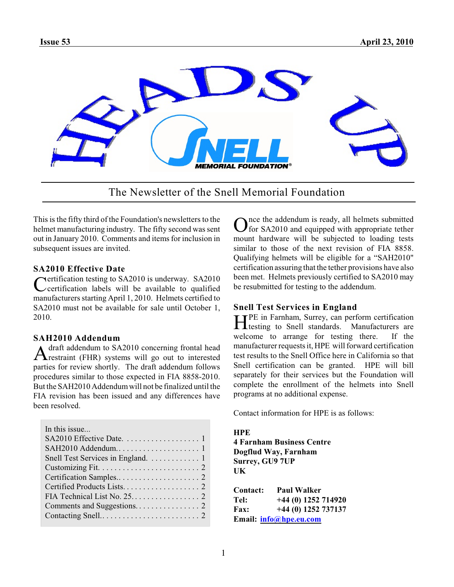

The Newsletter of the Snell Memorial Foundation

This is the fifty third of the Foundation's newsletters to the helmet manufacturing industry. The fifty second was sent out in January 2010. Comments and items for inclusion in subsequent issues are invited.

### **SA2010 Effective Date**

Certification testing to SA2010 is underway. SA2010<br>Certification labels will be available to qualified certification labels will be available to qualified manufacturers starting April 1, 2010. Helmets certified to SA2010 must not be available for sale until October 1, 2010.

#### **SAH2010 Addendum**

A draft addendum to SA2010 concerning frontal head<br>
restraint (FHR) systems will go out to interested draft addendum to SA2010 concerning frontal head parties for review shortly. The draft addendum follows procedures similar to those expected in FIA 8858-2010. But the SAH2010 Addendum will not be finalized until the FIA revision has been issued and any differences have been resolved.

| In this issue                     |
|-----------------------------------|
|                                   |
|                                   |
| Snell Test Services in England. 1 |
|                                   |
|                                   |
|                                   |
|                                   |
|                                   |
|                                   |

Once the addendum is ready, all helmets submitted<br>O for SA2010 and equipped with appropriate tether nce the addendum is ready, all helmets submitted mount hardware will be subjected to loading tests similar to those of the next revision of FIA 8858. Qualifying helmets will be eligible for a "SAH2010" certification assuring that the tether provisions have also been met. Helmets previously certified to SA2010 may be resubmitted for testing to the addendum.

## **Snell Test Services in England**

He in Farnham, Surrey, can perform certification<br>Manufacturers are<br>metals of Snell standards. Manufacturers are testing to Snell standards. Manufacturers are welcome to arrange for testing there. If the manufacturer requestsit, HPE will forward certification test results to the Snell Office here in California so that Snell certification can be granted. HPE will bill separately for their services but the Foundation will complete the enrollment of the helmets into Snell programs at no additional expense.

Contact information for HPE is as follows:

#### **HPE**

**4 Farnham Business Centre Dogflud Way, Farnham Surrey, GU9 7UP UK**

| <b>Contact:</b> | <b>Paul Walker</b>     |
|-----------------|------------------------|
| Tel:            | $+44$ (0) 1252 714920  |
| <b>Fax:</b>     | $+44(0)$ 1252 737137   |
|                 | Email: info@hpe.eu.com |